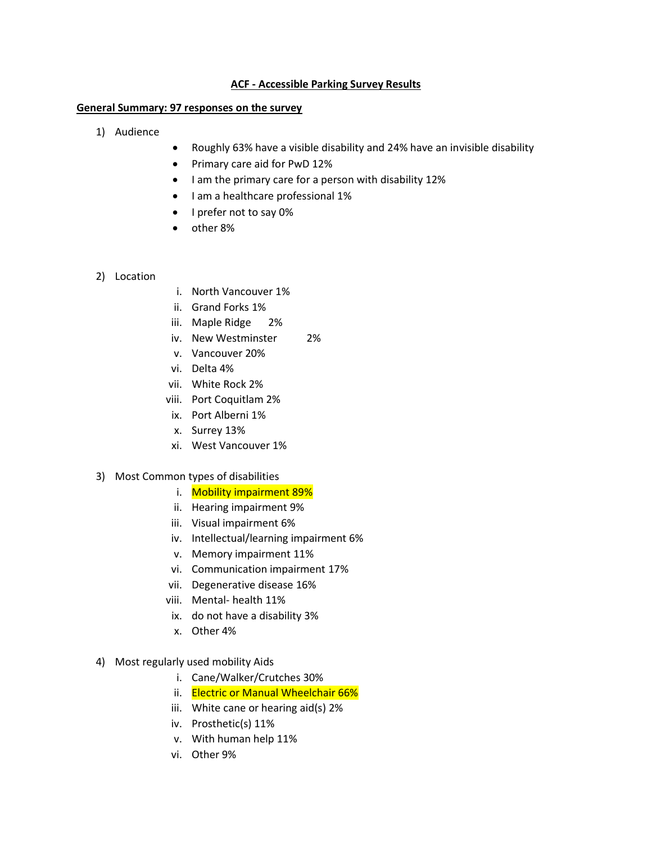## **ACF - Accessible Parking Survey Results**

## **General Summary: 97 responses on the survey**

- 1) Audience
- Roughly 63% have a visible disability and 24% have an invisible disability
- Primary care aid for PwD 12%
- I am the primary care for a person with disability 12%
- I am a healthcare professional 1%
- I prefer not to say 0%
- other 8%
- 2) Location
- i. North Vancouver 1%
- ii. Grand Forks 1%
- iii. Maple Ridge 2%
- iv. New Westminster 2%
- v. Vancouver 20%
- vi. Delta 4%
- vii. White Rock 2%
- viii. Port Coquitlam 2%
- ix. Port Alberni 1%
- x. Surrey 13%
- xi. West Vancouver 1%
- 3) Most Common types of disabilities
	- i. Mobility impairment 89%
	- ii. Hearing impairment 9%
	- iii. Visual impairment 6%
	- iv. Intellectual/learning impairment 6%
	- v. Memory impairment 11%
	- vi. Communication impairment 17%
	- vii. Degenerative disease 16%
	- viii. Mental- health 11%
	- ix. do not have a disability 3%
	- x. Other 4%
- 4) Most regularly used mobility Aids
	- i. Cane/Walker/Crutches 30%
	- ii. Electric or Manual Wheelchair 66%
	- iii. White cane or hearing aid(s) 2%
	- iv. Prosthetic(s) 11%
	- v. With human help 11%
	- vi. Other 9%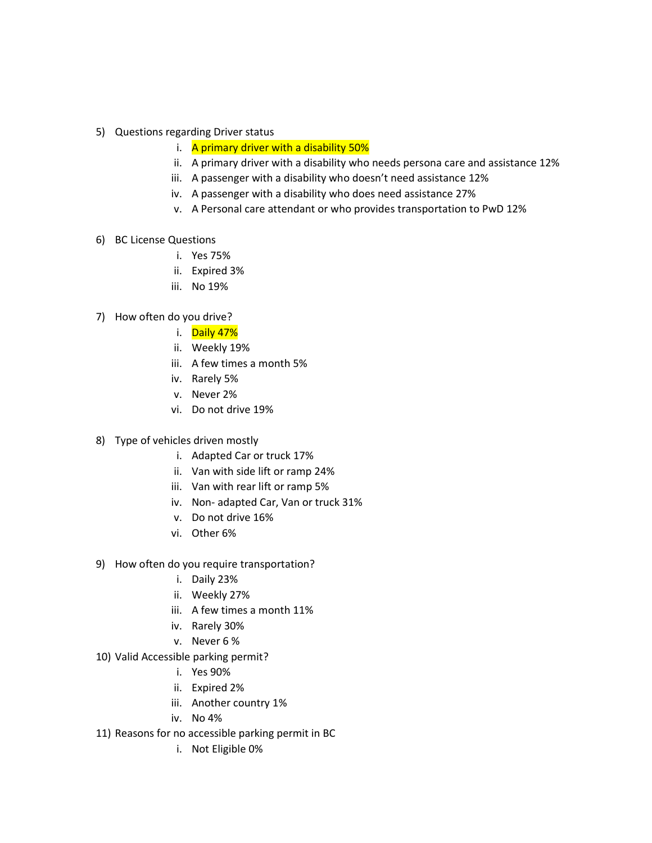- 5) Questions regarding Driver status
	- i. A primary driver with a disability 50%
	- ii. A primary driver with a disability who needs persona care and assistance 12%
	- iii. A passenger with a disability who doesn't need assistance 12%
	- iv. A passenger with a disability who does need assistance 27%
	- v. A Personal care attendant or who provides transportation to PwD 12%
- 6) BC License Questions
	- i. Yes 75%
	- ii. Expired 3%
	- iii. No 19%
- 7) How often do you drive?
	- i. Daily 47%
		- ii. Weekly 19%
		- iii. A few times a month 5%
		- iv. Rarely 5%
		- v. Never 2%
		- vi. Do not drive 19%
- 8) Type of vehicles driven mostly
	- i. Adapted Car or truck 17%
	- ii. Van with side lift or ramp 24%
	- iii. Van with rear lift or ramp 5%
	- iv. Non- adapted Car, Van or truck 31%
	- v. Do not drive 16%
	- vi. Other 6%
- 9) How often do you require transportation?
	- i. Daily 23%
	- ii. Weekly 27%
	- iii. A few times a month 11%
	- iv. Rarely 30%
	- v. Never 6 %
- 10) Valid Accessible parking permit?
	- i. Yes 90%
	- ii. Expired 2%
	- iii. Another country 1%
	- iv. No 4%
- 11) Reasons for no accessible parking permit in BC
	- i. Not Eligible 0%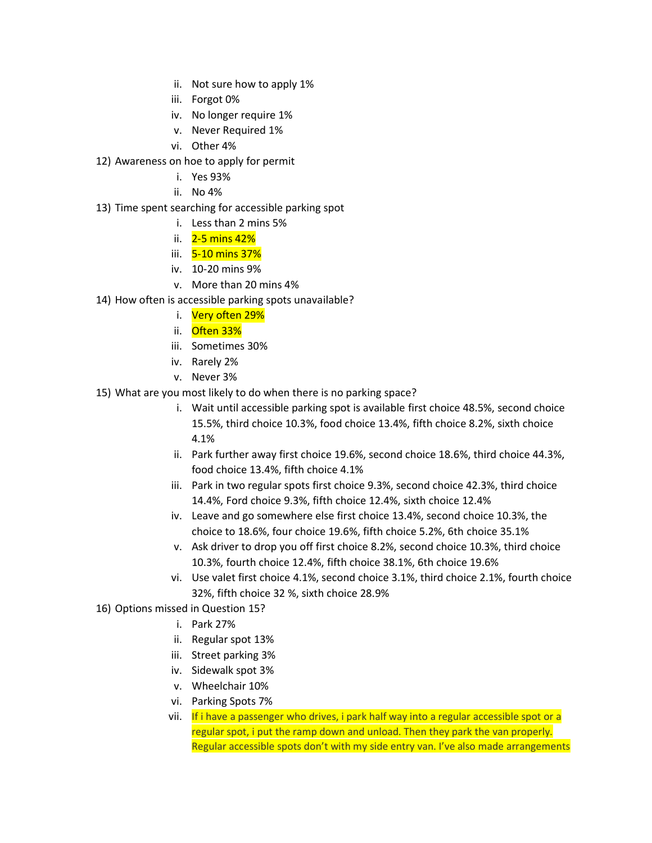- ii. Not sure how to apply 1%
- iii. Forgot 0%
- iv. No longer require 1%
- v. Never Required 1%
- vi. Other 4%
- 12) Awareness on hoe to apply for permit
	- i. Yes 93%
	- ii. No 4%
- 13) Time spent searching for accessible parking spot
	- i. Less than 2 mins 5%
	- ii.  $2-5$  mins  $42\%$
	- iii. 5-10 mins 37%
	- iv. 10-20 mins 9%
	- v. More than 20 mins 4%
- 14) How often is accessible parking spots unavailable?
	- i. Very often 29%
	- ii. Often 33%
	- iii. Sometimes 30%
	- iv. Rarely 2%
	- v. Never 3%
- 15) What are you most likely to do when there is no parking space?
	- i. Wait until accessible parking spot is available first choice 48.5%, second choice 15.5%, third choice 10.3%, food choice 13.4%, fifth choice 8.2%, sixth choice 4.1%
	- ii. Park further away first choice 19.6%, second choice 18.6%, third choice 44.3%, food choice 13.4%, fifth choice 4.1%
	- iii. Park in two regular spots first choice 9.3%, second choice 42.3%, third choice 14.4%, Ford choice 9.3%, fifth choice 12.4%, sixth choice 12.4%
	- iv. Leave and go somewhere else first choice 13.4%, second choice 10.3%, the choice to 18.6%, four choice 19.6%, fifth choice 5.2%, 6th choice 35.1%
	- v. Ask driver to drop you off first choice 8.2%, second choice 10.3%, third choice 10.3%, fourth choice 12.4%, fifth choice 38.1%, 6th choice 19.6%
	- vi. Use valet first choice 4.1%, second choice 3.1%, third choice 2.1%, fourth choice 32%, fifth choice 32 %, sixth choice 28.9%
- 16) Options missed in Question 15?
	- i. Park 27%
	- ii. Regular spot 13%
	- iii. Street parking 3%
	- iv. Sidewalk spot 3%
	- v. Wheelchair 10%
	- vi. Parking Spots 7%
	- vii. If i have a passenger who drives, i park half way into a regular accessible spot or a regular spot, i put the ramp down and unload. Then they park the van properly. Regular accessible spots don't with my side entry van. I've also made arrangements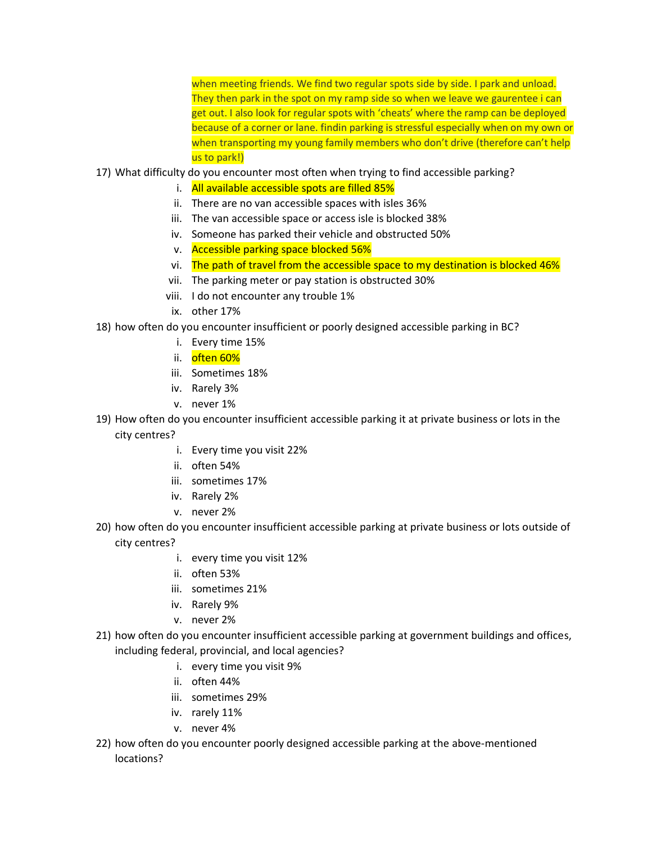when meeting friends. We find two regular spots side by side. I park and unload. They then park in the spot on my ramp side so when we leave we gaurentee i can get out. I also look for regular spots with 'cheats' where the ramp can be deployed because of a corner or lane. findin parking is stressful especially when on my own or when transporting my young family members who don't drive (therefore can't help us to park!)

- 17) What difficulty do you encounter most often when trying to find accessible parking?
	- i. All available accessible spots are filled 85%
	- ii. There are no van accessible spaces with isles 36%
	- iii. The van accessible space or access isle is blocked 38%
	- iv. Someone has parked their vehicle and obstructed 50%
	- v. Accessible parking space blocked 56%
	- vi. The path of travel from the accessible space to my destination is blocked 46%
	- vii. The parking meter or pay station is obstructed 30%
	- viii. I do not encounter any trouble 1%
	- ix. other 17%
- 18) how often do you encounter insufficient or poorly designed accessible parking in BC?
	- i. Every time 15%
	- ii. often 60%
	- iii. Sometimes 18%
	- iv. Rarely 3%
	- v. never 1%
- 19) How often do you encounter insufficient accessible parking it at private business or lots in the city centres?
	- i. Every time you visit 22%
	- ii. often 54%
	- iii. sometimes 17%
	- iv. Rarely 2%
	- v. never 2%
- 20) how often do you encounter insufficient accessible parking at private business or lots outside of city centres?
	- i. every time you visit 12%
	- ii. often 53%
	- iii. sometimes 21%
	- iv. Rarely 9%
	- v. never 2%
- 21) how often do you encounter insufficient accessible parking at government buildings and offices, including federal, provincial, and local agencies?
	- i. every time you visit 9%
	- ii. often 44%
	- iii. sometimes 29%
	- iv. rarely 11%
	- v. never 4%
- 22) how often do you encounter poorly designed accessible parking at the above-mentioned locations?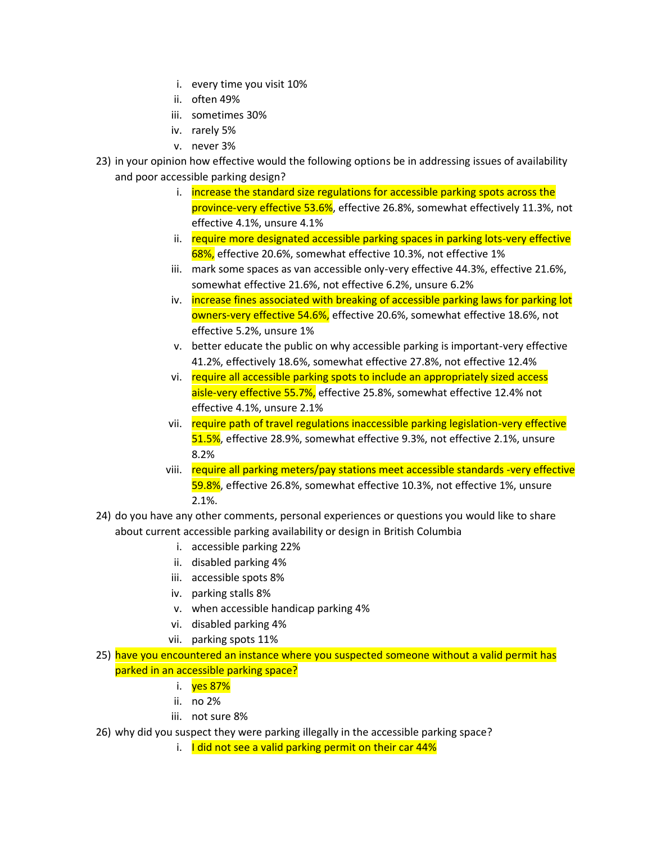- i. every time you visit 10%
- ii. often 49%
- iii. sometimes 30%
- iv. rarely 5%
- v. never 3%
- 23) in your opinion how effective would the following options be in addressing issues of availability and poor accessible parking design?
	- i. increase the standard size regulations for accessible parking spots across the province-very effective 53.6%, effective 26.8%, somewhat effectively 11.3%, not effective 4.1%, unsure 4.1%
	- ii. require more designated accessible parking spaces in parking lots-very effective 68%, effective 20.6%, somewhat effective 10.3%, not effective 1%
	- iii. mark some spaces as van accessible only-very effective 44.3%, effective 21.6%, somewhat effective 21.6%, not effective 6.2%, unsure 6.2%
	- iv. *increase fines associated with breaking of accessible parking laws for parking lot* owners-very effective 54.6%, effective 20.6%, somewhat effective 18.6%, not effective 5.2%, unsure 1%
	- v. better educate the public on why accessible parking is important-very effective 41.2%, effectively 18.6%, somewhat effective 27.8%, not effective 12.4%
	- vi. require all accessible parking spots to include an appropriately sized access aisle-very effective 55.7%, effective 25.8%, somewhat effective 12.4% not effective 4.1%, unsure 2.1%
	- vii. require path of travel regulations inaccessible parking legislation-very effective 51.5%, effective 28.9%, somewhat effective 9.3%, not effective 2.1%, unsure 8.2%
	- viii. require all parking meters/pay stations meet accessible standards -very effective 59.8%, effective 26.8%, somewhat effective 10.3%, not effective 1%, unsure 2.1%.
- 24) do you have any other comments, personal experiences or questions you would like to share about current accessible parking availability or design in British Columbia
	- i. accessible parking 22%
	- ii. disabled parking 4%
	- iii. accessible spots 8%
	- iv. parking stalls 8%
	- v. when accessible handicap parking 4%
	- vi. disabled parking 4%
	- vii. parking spots 11%
- 25) have you encountered an instance where you suspected someone without a valid permit has parked in an accessible parking space?
	- i. ves 87%
	- ii. no 2%
	- iii. not sure 8%
- 26) why did you suspect they were parking illegally in the accessible parking space?
	- i. I did not see a valid parking permit on their car  $44\%$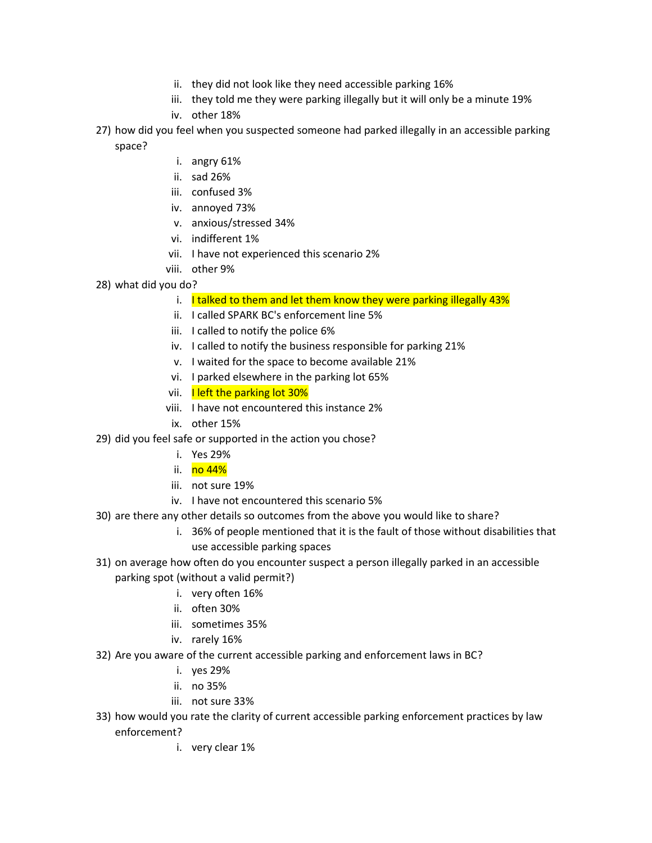- ii. they did not look like they need accessible parking 16%
- iii. they told me they were parking illegally but it will only be a minute 19%
- iv. other 18%
- 27) how did you feel when you suspected someone had parked illegally in an accessible parking space?
	- i. angry 61%
	- ii. sad 26%
	- iii. confused 3%
	- iv. annoyed 73%
	- v. anxious/stressed 34%
	- vi. indifferent 1%
	- vii. I have not experienced this scenario 2%
	- viii. other 9%
- 28) what did you do?
	- i. I talked to them and let them know they were parking illegally  $43\%$
	- ii. I called SPARK BC's enforcement line 5%
	- iii. I called to notify the police 6%
	- iv. I called to notify the business responsible for parking 21%
	- v. I waited for the space to become available 21%
	- vi. I parked elsewhere in the parking lot 65%
	- vii. I left the parking lot 30%
	- viii. I have not encountered this instance 2%
	- ix. other 15%
- 29) did you feel safe or supported in the action you chose?
	- i. Yes 29%
	- ii. <mark>no 44%</mark>
	- iii. not sure 19%
	- iv. I have not encountered this scenario 5%
- 30) are there any other details so outcomes from the above you would like to share?
	- i. 36% of people mentioned that it is the fault of those without disabilities that use accessible parking spaces
- 31) on average how often do you encounter suspect a person illegally parked in an accessible parking spot (without a valid permit?)
	- i. very often 16%
		- ii. often 30%
	- iii. sometimes 35%
	- iv. rarely 16%
- 32) Are you aware of the current accessible parking and enforcement laws in BC?
	- i. yes 29%
	- ii. no 35%
	- iii. not sure 33%
- 33) how would you rate the clarity of current accessible parking enforcement practices by law enforcement?
	- i. very clear 1%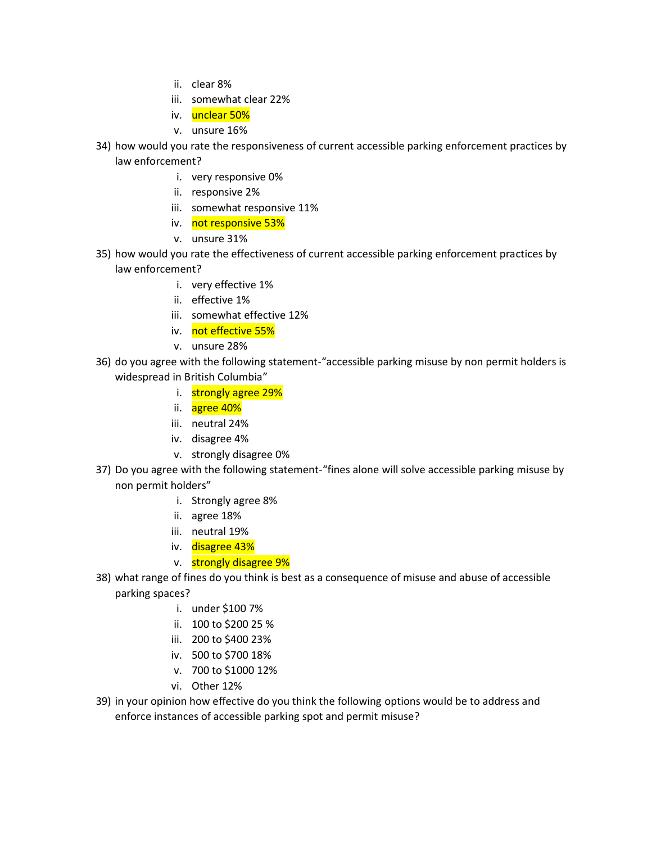- ii. clear 8%
- iii. somewhat clear 22%
- iv. unclear 50%
- v. unsure 16%
- 34) how would you rate the responsiveness of current accessible parking enforcement practices by law enforcement?
	- i. very responsive 0%
	- ii. responsive 2%
	- iii. somewhat responsive 11%
	- iv. not responsive 53%
	- v. unsure 31%
- 35) how would you rate the effectiveness of current accessible parking enforcement practices by law enforcement?
	- i. very effective 1%
	- ii. effective 1%
	- iii. somewhat effective 12%
	- iv. not effective 55%
	- v. unsure 28%
- 36) do you agree with the following statement-"accessible parking misuse by non permit holders is widespread in British Columbia"
	- i. strongly agree 29%
	- ii. agree 40%
	- iii. neutral 24%
	- iv. disagree 4%
	- v. strongly disagree 0%
- 37) Do you agree with the following statement-"fines alone will solve accessible parking misuse by non permit holders"
	- i. Strongly agree 8%
	- ii. agree 18%
	- iii. neutral 19%
	- iv. disagree 43%
	- v. strongly disagree 9%
- 38) what range of fines do you think is best as a consequence of misuse and abuse of accessible parking spaces?
	- i. under \$100 7%
	- ii. 100 to \$200 25 %
	- iii. 200 to \$400 23%
	- iv. 500 to \$700 18%
	- v. 700 to \$1000 12%
	- vi. Other 12%
- 39) in your opinion how effective do you think the following options would be to address and enforce instances of accessible parking spot and permit misuse?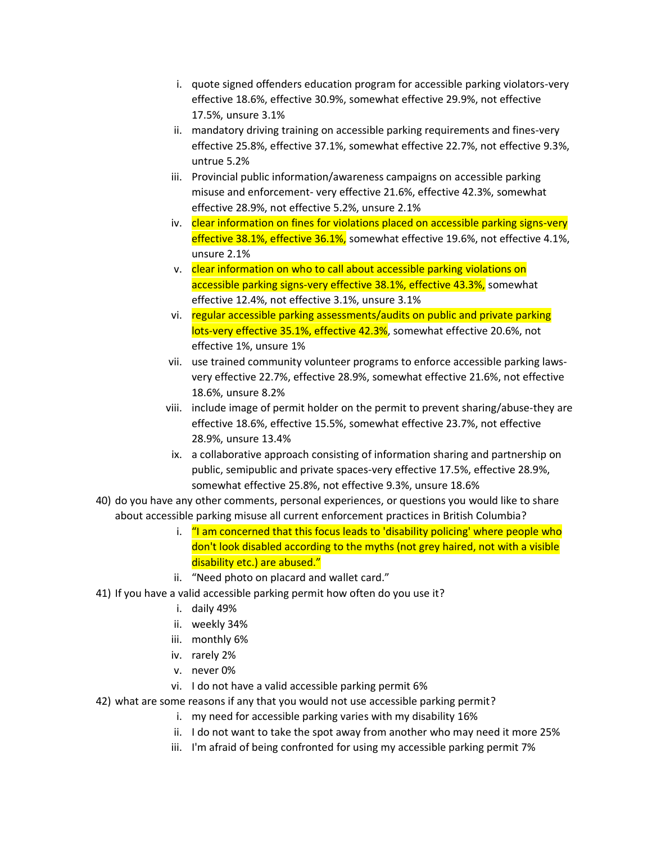- i. quote signed offenders education program for accessible parking violators-very effective 18.6%, effective 30.9%, somewhat effective 29.9%, not effective 17.5%, unsure 3.1%
- ii. mandatory driving training on accessible parking requirements and fines-very effective 25.8%, effective 37.1%, somewhat effective 22.7%, not effective 9.3%, untrue 5.2%
- iii. Provincial public information/awareness campaigns on accessible parking misuse and enforcement- very effective 21.6%, effective 42.3%, somewhat effective 28.9%, not effective 5.2%, unsure 2.1%
- iv. clear information on fines for violations placed on accessible parking signs-very effective 38.1%, effective 36.1%, somewhat effective 19.6%, not effective 4.1%, unsure 2.1%
- v. clear information on who to call about accessible parking violations on accessible parking signs-very effective 38.1%, effective 43.3%, somewhat effective 12.4%, not effective 3.1%, unsure 3.1%
- vi. regular accessible parking assessments/audits on public and private parking lots-very effective 35.1%, effective 42.3%, somewhat effective 20.6%, not effective 1%, unsure 1%
- vii. use trained community volunteer programs to enforce accessible parking lawsvery effective 22.7%, effective 28.9%, somewhat effective 21.6%, not effective 18.6%, unsure 8.2%
- viii. include image of permit holder on the permit to prevent sharing/abuse-they are effective 18.6%, effective 15.5%, somewhat effective 23.7%, not effective 28.9%, unsure 13.4%
- ix. a collaborative approach consisting of information sharing and partnership on public, semipublic and private spaces-very effective 17.5%, effective 28.9%, somewhat effective 25.8%, not effective 9.3%, unsure 18.6%
- 40) do you have any other comments, personal experiences, or questions you would like to share about accessible parking misuse all current enforcement practices in British Columbia?
	- i. "I am concerned that this focus leads to 'disability policing' where people who don't look disabled according to the myths (not grey haired, not with a visible disability etc.) are abused."
	- ii. "Need photo on placard and wallet card."
- 41) If you have a valid accessible parking permit how often do you use it?
	- i. daily 49%
	- ii. weekly 34%
	- iii. monthly 6%
	- iv. rarely 2%
	- v. never 0%
	- vi. I do not have a valid accessible parking permit 6%
- 42) what are some reasons if any that you would not use accessible parking permit?
	- i. my need for accessible parking varies with my disability 16%
	- ii. I do not want to take the spot away from another who may need it more 25%
	- iii. I'm afraid of being confronted for using my accessible parking permit 7%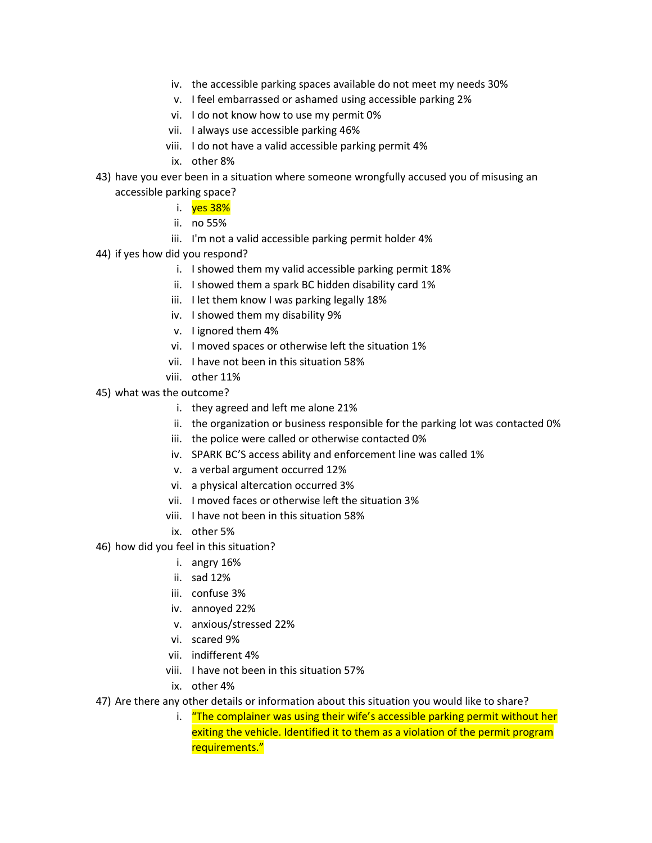- iv. the accessible parking spaces available do not meet my needs 30%
- v. I feel embarrassed or ashamed using accessible parking 2%
- vi. I do not know how to use my permit 0%
- vii. I always use accessible parking 46%
- viii. I do not have a valid accessible parking permit 4%
- ix. other 8%
- 43) have you ever been in a situation where someone wrongfully accused you of misusing an accessible parking space?
	- i. ves 38%
		- ii. no 55%
		- iii. I'm not a valid accessible parking permit holder 4%
- 44) if yes how did you respond?
	- i. I showed them my valid accessible parking permit 18%
	- ii. I showed them a spark BC hidden disability card 1%
	- iii. I let them know I was parking legally 18%
	- iv. I showed them my disability 9%
	- v. I ignored them 4%
	- vi. I moved spaces or otherwise left the situation 1%
	- vii. I have not been in this situation 58%
	- viii. other 11%
- 45) what was the outcome?
	- i. they agreed and left me alone 21%
	- ii. the organization or business responsible for the parking lot was contacted 0%
	- iii. the police were called or otherwise contacted 0%
	- iv. SPARK BC'S access ability and enforcement line was called 1%
	- v. a verbal argument occurred 12%
	- vi. a physical altercation occurred 3%
	- vii. I moved faces or otherwise left the situation 3%
	- viii. I have not been in this situation 58%
	- ix. other 5%
- 46) how did you feel in this situation?
	- i. angry 16%
	- ii. sad 12%
	- iii. confuse 3%
	- iv. annoyed 22%
	- v. anxious/stressed 22%
	- vi. scared 9%
	- vii. indifferent 4%
	- viii. I have not been in this situation 57%
	- ix. other 4%
- 47) Are there any other details or information about this situation you would like to share?
	- i. "The complainer was using their wife's accessible parking permit without her exiting the vehicle. Identified it to them as a violation of the permit program requirements."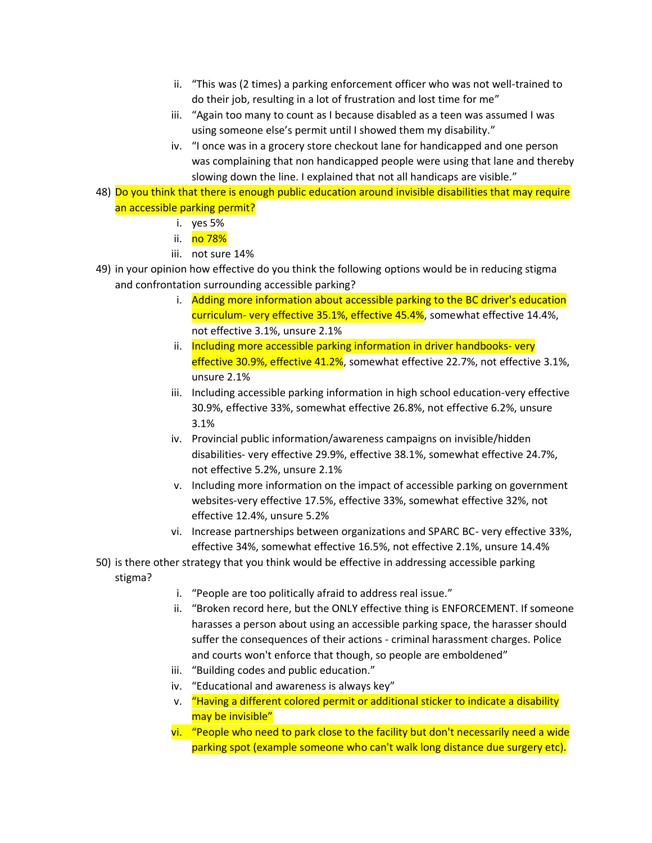- ii. "This was (2 times) a parking enforcement officer who was not well-trained to do their job, resulting in a lot of frustration and lost time for me"
- iii. "Again too many to count as I because disabled as a teen was assumed I was using someone else's permit until I showed them my disability."
- iv. "I once was in a grocery store checkout lane for handicapped and one person was complaining that non handicapped people were using that lane and thereby slowing down the line. I explained that not all handicaps are visible."
- 48) Do you think that there is enough public education around invisible disabilities that may require an accessible parking permit?
	- i. yes 5%
	- ii. no 78%
	- iii. not sure 14%
- 49) in your opinion how effective do you think the following options would be in reducing stigma and confrontation surrounding accessible parking?
	- i. Adding more information about accessible parking to the BC driver's education curriculum- very effective 35.1%, effective 45.4%, somewhat effective 14.4%, not effective 3.1%, unsure 2.1%
	- ii. Including more accessible parking information in driver handbooks- very effective 30.9%, effective 41.2%, somewhat effective 22.7%, not effective 3.1%, unsure 2.1%
	- iii. Including accessible parking information in high school education-very effective 30.9%, effective 33%, somewhat effective 26.8%, not effective 6.2%, unsure 3.1%
	- iv. Provincial public information/awareness campaigns on invisible/hidden disabilities- very effective 29.9%, effective 38.1%, somewhat effective 24.7%, not effective 5.2%, unsure 2.1%
	- v. Including more information on the impact of accessible parking on government websites-very effective 17.5%, effective 33%, somewhat effective 32%, not effective 12.4%, unsure 5.2%
	- vi. Increase partnerships between organizations and SPARC BC- very effective 33%, effective 34%, somewhat effective 16.5%, not effective 2.1%, unsure 14.4%
- 50) is there other strategy that you think would be effective in addressing accessible parking stigma?
	- i. "People are too politically afraid to address real issue."
	- ii. "Broken record here, but the ONLY effective thing is ENFORCEMENT. If someone harasses a person about using an accessible parking space, the harasser should suffer the consequences of their actions - criminal harassment charges. Police and courts won't enforce that though, so people are emboldened"
	- iii. "Building codes and public education."
	- iv. "Educational and awareness is always key"
	- v. "Having a different colored permit or additional sticker to indicate a disability may be invisible"
	- vi. "People who need to park close to the facility but don't necessarily need a wide parking spot (example someone who can't walk long distance due surgery etc).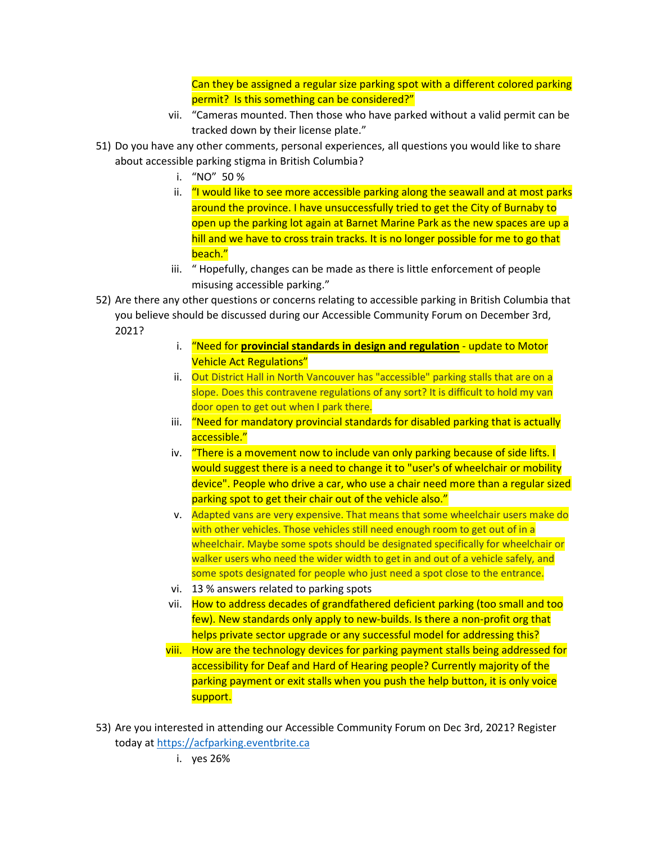Can they be assigned a regular size parking spot with a different colored parking permit? Is this something can be considered?"

- vii. "Cameras mounted. Then those who have parked without a valid permit can be tracked down by their license plate."
- 51) Do you have any other comments, personal experiences, all questions you would like to share about accessible parking stigma in British Columbia?
	- i. "NO" 50 %
	- ii. "I would like to see more accessible parking along the seawall and at most parks around the province. I have unsuccessfully tried to get the City of Burnaby to open up the parking lot again at Barnet Marine Park as the new spaces are up a hill and we have to cross train tracks. It is no longer possible for me to go that beach."
	- iii. " Hopefully, changes can be made as there is little enforcement of people misusing accessible parking."
- 52) Are there any other questions or concerns relating to accessible parking in British Columbia that you believe should be discussed during our Accessible Community Forum on December 3rd, 2021?
	- i. "Need for **provincial standards in design and regulation** update to Motor Vehicle Act Regulations"
	- ii. Out District Hall in North Vancouver has "accessible" parking stalls that are on a slope. Does this contravene regulations of any sort? It is difficult to hold my van door open to get out when I park there.
	- iii. "Need for mandatory provincial standards for disabled parking that is actually accessible."
	- iv. "There is a movement now to include van only parking because of side lifts. I would suggest there is a need to change it to "user's of wheelchair or mobility device". People who drive a car, who use a chair need more than a regular sized parking spot to get their chair out of the vehicle also."
	- v. Adapted vans are very expensive. That means that some wheelchair users make do with other vehicles. Those vehicles still need enough room to get out of in a wheelchair. Maybe some spots should be designated specifically for wheelchair or walker users who need the wider width to get in and out of a vehicle safely, and some spots designated for people who just need a spot close to the entrance.
	- vi. 13 % answers related to parking spots
	- vii. How to address decades of grandfathered deficient parking (too small and too few). New standards only apply to new-builds. Is there a non-profit org that helps private sector upgrade or any successful model for addressing this?
	- viii. How are the technology devices for parking payment stalls being addressed for accessibility for Deaf and Hard of Hearing people? Currently majority of the parking payment or exit stalls when you push the help button, it is only voice support.
- 53) Are you interested in attending our Accessible Community Forum on Dec 3rd, 2021? Register today at [https://acfparking.eventbrite.ca](https://acfparking.eventbrite.ca/)
	- i. yes 26%